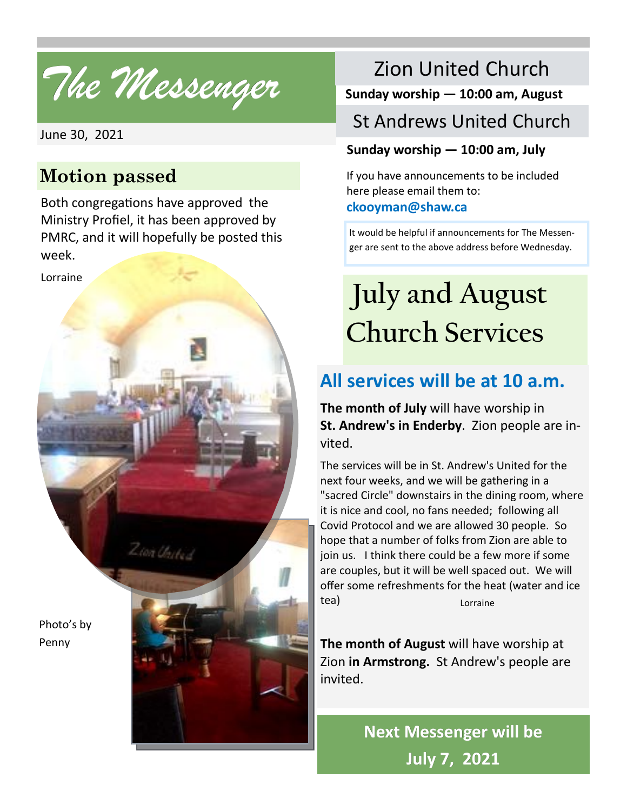The *Messenger* Zion United Church

### June 30, 2021

### **Motion passed**

Both congregations have approved the Ministry Profiel, it has been approved by PMRC, and it will hopefully be posted this week.

Zion United

Lorraine

Photo's by Penny

**Sunday worship — 10:00 am, August**

## St Andrews United Church

### **Sunday worship — 10:00 am, July**

If you have announcements to be included here please email them to:

#### **ckooyman@shaw.ca**

It would be helpful if announcements for The Messenger are sent to the above address before Wednesday.

# **July and August Church Services**

# **All services will be at 10 a.m.**

**The month of July** will have worship in **St. Andrew's in Enderby**. Zion people are invited.

The services will be in St. Andrew's United for the next four weeks, and we will be gathering in a "sacred Circle" downstairs in the dining room, where it is nice and cool, no fans needed; following all Covid Protocol and we are allowed 30 people. So hope that a number of folks from Zion are able to join us. I think there could be a few more if some are couples, but it will be well spaced out. We will offer some refreshments for the heat (water and ice tea) Lorraine

**The month of August** will have worship at Zion **in Armstrong.** St Andrew's people are invited.

> **Next Messenger will be July 7, 2021 July 2021**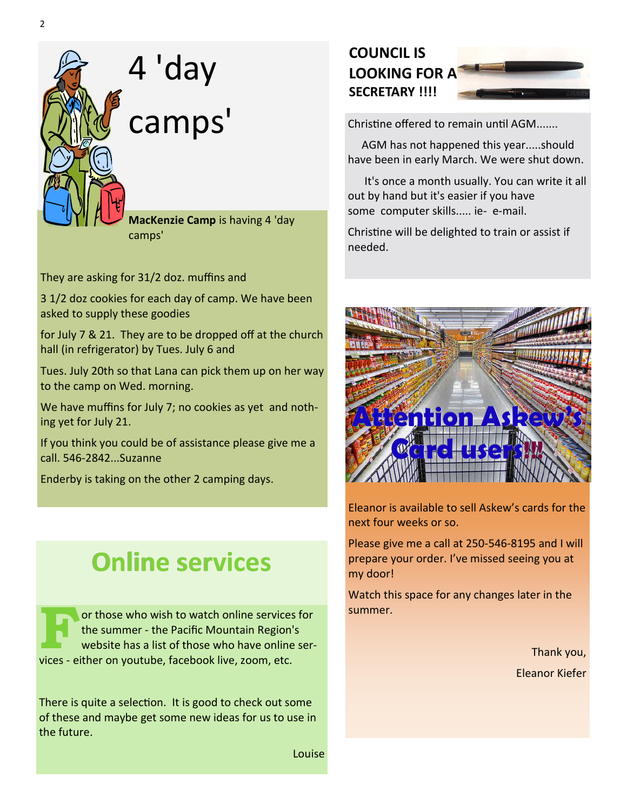

# 4 'day camps'

**MacKenzie Camp** is having 4 'day camps'

They are asking for 31/2 doz. muffins and

3 1/2 doz cookies for each day of camp. We have been asked to supply these goodies

for July 7 & 21. They are to be dropped off at the church hall (in refrigerator) by Tues. July 6 and

Tues. July 20th so that Lana can pick them up on her way to the camp on Wed. morning.

We have muffins for July 7; no cookies as yet and nothing yet for July 21.

If you think you could be of assistance please give me a call. 546-2842...Suzanne

Enderby is taking on the other 2 camping days.

# **Online services**

**For those who wish to watch online services for<br>the summer - the Pacific Mountain Region's<br>website has a list of those who have online ser-<br>vices - either on voutube facebook live zoom, atc** the summer - the Pacifc Mountain Region's website has a list of those who have online services - either on youtube, facebook live, zoom, etc.

There is quite a selection. It is good to check out some of these and maybe get some new ideas for us to use in the future.

### **COUNCIL IS LOOKING FOR A SECRETARY !!!!**

Christine offered to remain until AGM.......

 AGM has not happened this year.....should have been in early March. We were shut down.

It's once a month usually. You can write it all out by hand but it's easier if you have some computer skills..... ie- e-mail.

Christne will be delighted to train or assist if needed.



Eleanor is available to sell Askew's cards for the next four weeks or so.

Please give me a call at 250-546-8195 and I will prepare your order. I've missed seeing you at my door!

Watch this space for any changes later in the summer.

> Thank you, Eleanor Kiefer

Louise